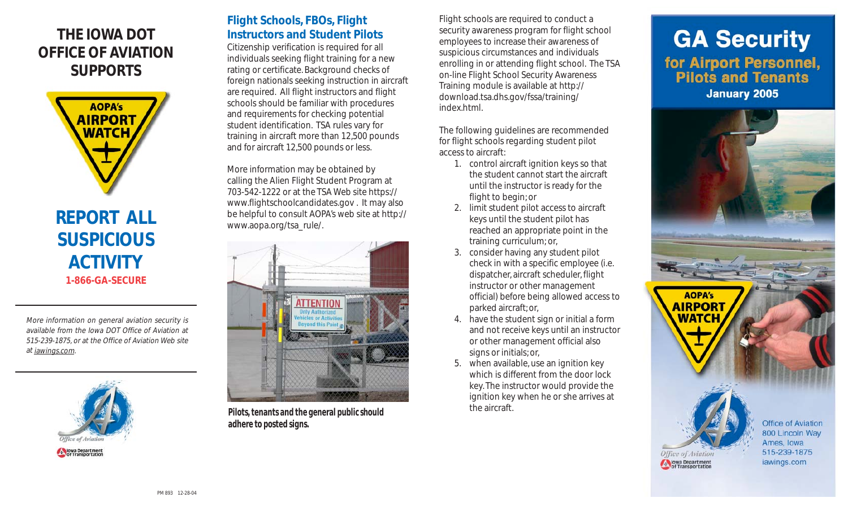### **THE IOWA DOT OFFICE OF AVIATION SUPPORTS**



## **SUSPICIOUS ACTIVITY 1-866-GA-SECURE**

More information on general aviation security is available from the Iowa DOT Office of Aviation at 515-239-1875, or at the Office of Aviation Web site at iawings.com.



#### **Flight Schools, FBOs, Flight Instructors and Student Pilots**

Citizenship verification is required for all individuals seeking flight training for a new rating or certificate. Background checks of foreign nationals seeking instruction in aircraft are required. All flight instructors and flight schools should be familiar with procedures and requirements for checking potential student identification. TSA rules vary for training in aircraft more than 12,500 pounds and for aircraft 12,500 pounds or less.

More information may be obtained by calling the Alien Flight Student Program at 703-542-1222 or at the TSA Web site https:// www.flightschoolcandidates.gov . It may also be helpful to consult AOPA's web site at http:// www.aopa.org/tsa\_rule/.



**Pilots, tenants and the general public should adhere to posted signs.**

Flight schools are required to conduct a security awareness program for flight school employees to increase their awareness of suspicious circumstances and individuals enrolling in or attending flight school. The TSA on-line Flight School Security Awareness Training module is available at http:// download.tsa.dhs.gov/fssa/training/ index.html.

The following guidelines are recommended for flight schools regarding student pilot access to aircraft:

- 1. control aircraft ignition keys so that the student cannot start the aircraft until the instructor is ready for the flight to begin; or
- 2. limit student pilot access to aircraft keys until the student pilot has reached an appropriate point in the training curriculum; or,
- 3. consider having any student pilot check in with a specific employee (i.e. dispatcher, aircraft scheduler, flight instructor or other management official) before being allowed access to parked aircraft; or,
- 4. have the student sign or initial a form and not receive keys until an instructor or other management official also signs or initials; or,
- 5. when available, use an ignition key which is different from the door lock key. The instructor would provide the ignition key when he or she arrives at the aircraft.

# **GA Security** for Airport Personnel,<br>Pilots and Tenants **January 2005**